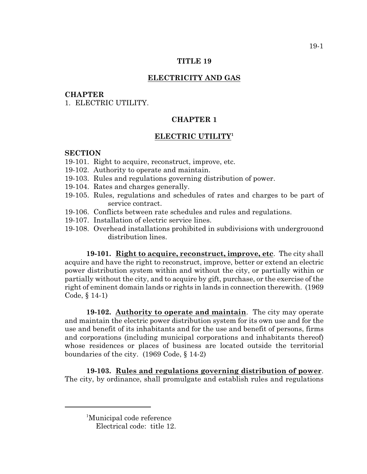#### **TITLE 19**

# **ELECTRICITY AND GAS**

#### **CHAPTER**

1. ELECTRIC UTILITY.

# **CHAPTER 1**

### **ELECTRIC UTILITY<sup>1</sup>**

### **SECTION**

- 19-101. Right to acquire, reconstruct, improve, etc.
- 19-102. Authority to operate and maintain.
- 19-103. Rules and regulations governing distribution of power.
- 19-104. Rates and charges generally.
- 19-105. Rules, regulations and schedules of rates and charges to be part of service contract.
- 19-106. Conflicts between rate schedules and rules and regulations.
- 19-107. Installation of electric service lines.
- 19-108. Overhead installations prohibited in subdivisions with undergrouond distribution lines.

**19-101. Right to acquire, reconstruct, improve, etc**. The city shall acquire and have the right to reconstruct, improve, better or extend an electric power distribution system within and without the city, or partially within or partially without the city, and to acquire by gift, purchase, or the exercise of the right of eminent domain lands or rights in lands in connection therewith. (1969 Code, § 14-1)

**19-102. Authority to operate and maintain**. The city may operate and maintain the electric power distribution system for its own use and for the use and benefit of its inhabitants and for the use and benefit of persons, firms and corporations (including municipal corporations and inhabitants thereof) whose residences or places of business are located outside the territorial boundaries of the city. (1969 Code, § 14-2)

**19-103. Rules and regulations governing distribution of power**. The city, by ordinance, shall promulgate and establish rules and regulations

<sup>&</sup>lt;sup>1</sup>Municipal code reference Electrical code: title 12.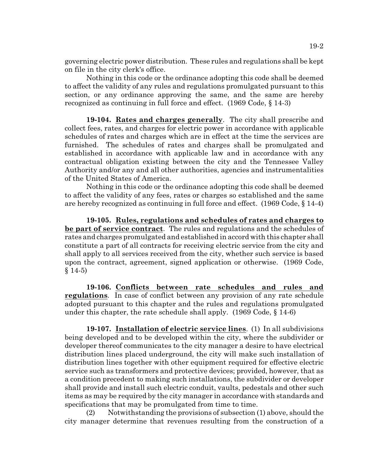governing electric power distribution. These rules and regulations shall be kept on file in the city clerk's office.

Nothing in this code or the ordinance adopting this code shall be deemed to affect the validity of any rules and regulations promulgated pursuant to this section, or any ordinance approving the same, and the same are hereby recognized as continuing in full force and effect. (1969 Code, § 14-3)

**19-104. Rates and charges generally**. The city shall prescribe and collect fees, rates, and charges for electric power in accordance with applicable schedules of rates and charges which are in effect at the time the services are furnished. The schedules of rates and charges shall be promulgated and established in accordance with applicable law and in accordance with any contractual obligation existing between the city and the Tennessee Valley Authority and/or any and all other authorities, agencies and instrumentalities of the United States of America.

Nothing in this code or the ordinance adopting this code shall be deemed to affect the validity of any fees, rates or charges so established and the same are hereby recognized as continuing in full force and effect. (1969 Code, § 14-4)

**19-105. Rules, regulations and schedules of rates and charges to be part of service contract**. The rules and regulations and the schedules of rates and charges promulgated and established in accord with this chapter shall constitute a part of all contracts for receiving electric service from the city and shall apply to all services received from the city, whether such service is based upon the contract, agreement, signed application or otherwise. (1969 Code,  $§ 14-5)$ 

**19-106. Conflicts between rate schedules and rules and regulations**. In case of conflict between any provision of any rate schedule adopted pursuant to this chapter and the rules and regulations promulgated under this chapter, the rate schedule shall apply.  $(1969 \text{ Code}, \S 14-6)$ 

**19-107. Installation of electric service lines**. (1) In all subdivisions being developed and to be developed within the city, where the subdivider or developer thereof communicates to the city manager a desire to have electrical distribution lines placed underground, the city will make such installation of distribution lines together with other equipment required for effective electric service such as transformers and protective devices; provided, however, that as a condition precedent to making such installations, the subdivider or developer shall provide and install such electric conduit, vaults, pedestals and other such items as may be required by the city manager in accordance with standards and specifications that may be promulgated from time to time.

(2) Notwithstanding the provisions of subsection (1) above, should the city manager determine that revenues resulting from the construction of a